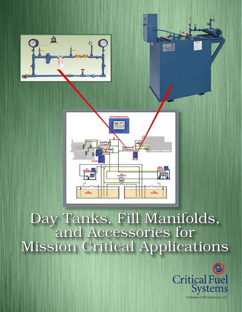



## Day Tanks, Fill Manifolds, and Accessories for Mission Critical Applications